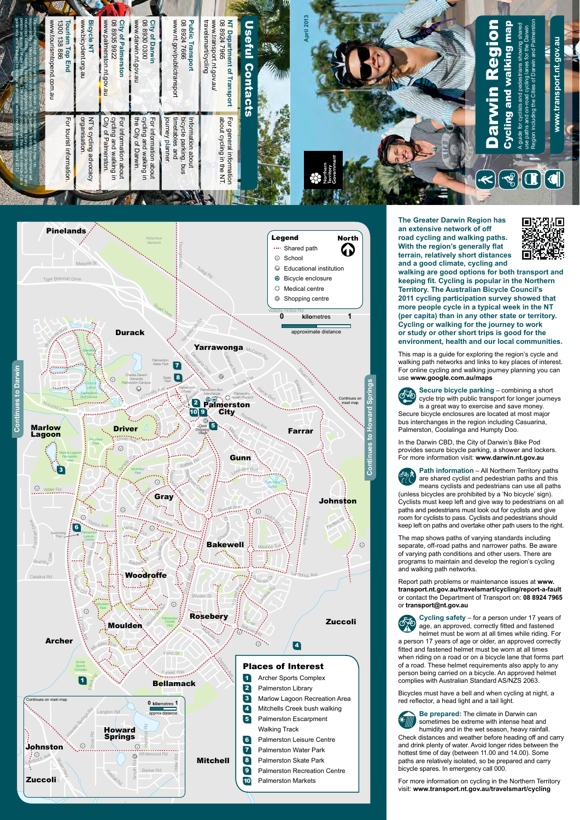**The Greater Darwin Region has an extensive network of off road cycling and walking paths. With the region's generally flat terrain, relatively short distances and a good climate, cycling and** 



**walking are good options for both transport and keeping fit. Cycling is popular in the Northern Territory. The Australian Bicycle Council's 2011 cycling participation survey showed that more people cycle in a typical week in the NT (per capita) than in any other state or territory. Cycling or walking for the journey to work or study or other short trips is good for the environment, health and our local communities.**

use **www.google.com.au/maps**<br>External Secure bicycle parking **Secure bicycle parking** – combining a short cycle trip with public transport for longer journeys is a great way to exercise and save money.

(unless bicycles are prohibited by a 'No bicycle' sign). Cyclists must keep left and give way to pedestrians on all paths and pedestrians must look out for cyclists and give room for cyclists to pass. Cyclists and pedestrians should keep left on paths and overtake other path users to the right. s and ped<br>n for cyclis<br>left on pa<br>man shov

This map is a guide for exploring the region's cycle and walking path networks and links to key places of interest. For online cycling and walking journey planning you can



Report path problems or maintenance issues at **www. transport.nt.gov.au/travelsmart/cycling/report-a-fault** or contact the Department of Transport on: **08 8924 7965**  or **transport@nt.gov.au** n<br>C

**Cycling safety** – for a person under 17 years of

Secure bicycle enclosures are located at most major bus interchanges in the region including Casuarina, Palmerston, Coolalinga and Humpty Doo.

In the Darwin CBD, the City of Darwin's Bike Pod provides secure bicycle parking, a shower and lockers. For more information visit: **www.darwin.nt.gov.au**



**Path information** – All Northern Territory paths are shared cyclist and pedestrian paths and this means cyclists and pedestrians can use all paths

 $\mathbb{Q}$ age, an approved, correctly fitted and fastened helmet must be worn at all times while riding. For a person 17 years of age or older, an approved correctly Mofitted and fastened helmet must be worn at all times when riding on a road or on a bicycle lane that forms part of a road. These helmet requirements also apply to any person being carried on a bicycle. An approved helmet complies with Australian Standard AS/NZS 2063. Bicycles must have a bell and when cycling at night, a red reflector, a head light and a tail light. **Be prepared:** The climate in Darwin can sometimes be extreme with intense heat and humidity and in the wet season, heavy rainfall. Check distances and weather before heading off and carry and drink plenty of water. Avoid longer rides between the hottest time of day (between 11.00 and 14.00). Some paths are relatively isolated, so be prepared and carry bicycle spares. In emergency call 000.

The map shows paths of varying standards including separate, off-road paths and narrower paths. Be aware of varying path conditions and other users. There are programs to maintain and develop the region's cycling and walking path networks.

For more information on cycling in the Northern Territory visit: **www.transport.nt.gov.au/travelsmart/cycling**